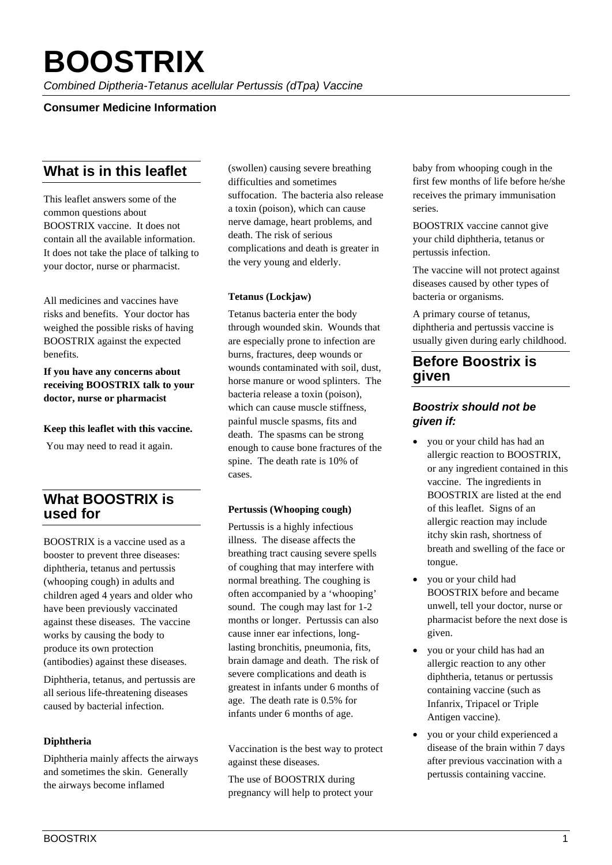# **BOOSTRIX**

*Combined Diptheria-Tetanus acellular Pertussis (dTpa) Vaccine*

## **Consumer Medicine Information**

# **What is in this leaflet**

This leaflet answers some of the common questions about BOOSTRIX vaccine. It does not contain all the available information. It does not take the place of talking to your doctor, nurse or pharmacist.

All medicines and vaccines have risks and benefits. Your doctor has weighed the possible risks of having BOOSTRIX against the expected benefits.

**If you have any concerns about receiving BOOSTRIX talk to your doctor, nurse or pharmacist**

#### **Keep this leaflet with this vaccine.**

You may need to read it again.

# **What BOOSTRIX is used for**

BOOSTRIX is a vaccine used as a booster to prevent three diseases: diphtheria, tetanus and pertussis (whooping cough) in adults and children aged 4 years and older who have been previously vaccinated against these diseases. The vaccine works by causing the body to produce its own protection (antibodies) against these diseases.

Diphtheria, tetanus, and pertussis are all serious life-threatening diseases caused by bacterial infection.

#### **Diphtheria**

Diphtheria mainly affects the airways and sometimes the skin. Generally the airways become inflamed

(swollen) causing severe breathing difficulties and sometimes suffocation. The bacteria also release a toxin (poison), which can cause nerve damage, heart problems, and death. The risk of serious complications and death is greater in the very young and elderly.

#### **Tetanus (Lockjaw)**

Tetanus bacteria enter the body through wounded skin. Wounds that are especially prone to infection are burns, fractures, deep wounds or wounds contaminated with soil, dust, horse manure or wood splinters. The bacteria release a toxin (poison), which can cause muscle stiffness, painful muscle spasms, fits and death. The spasms can be strong enough to cause bone fractures of the spine. The death rate is 10% of cases.

#### **Pertussis (Whooping cough)**

Pertussis is a highly infectious illness. The disease affects the breathing tract causing severe spells of coughing that may interfere with normal breathing. The coughing is often accompanied by a 'whooping' sound. The cough may last for 1-2 months or longer. Pertussis can also cause inner ear infections, longlasting bronchitis, pneumonia, fits, brain damage and death. The risk of severe complications and death is greatest in infants under 6 months of age. The death rate is 0.5% for infants under 6 months of age.

Vaccination is the best way to protect against these diseases.

The use of BOOSTRIX during pregnancy will help to protect your baby from whooping cough in the first few months of life before he/she receives the primary immunisation series.

BOOSTRIX vaccine cannot give your child diphtheria, tetanus or pertussis infection.

The vaccine will not protect against diseases caused by other types of bacteria or organisms.

A primary course of tetanus, diphtheria and pertussis vaccine is usually given during early childhood.

# **Before Boostrix is given**

## *Boostrix should not be given if:*

- you or your child has had an allergic reaction to BOOSTRIX, or any ingredient contained in this vaccine. The ingredients in BOOSTRIX are listed at the end of this leaflet. Signs of an allergic reaction may include itchy skin rash, shortness of breath and swelling of the face or tongue.
- you or your child had BOOSTRIX before and became unwell, tell your doctor, nurse or pharmacist before the next dose is given.
- you or your child has had an allergic reaction to any other diphtheria, tetanus or pertussis containing vaccine (such as Infanrix, Tripacel or Triple Antigen vaccine).
- you or your child experienced a disease of the brain within 7 days after previous vaccination with a pertussis containing vaccine.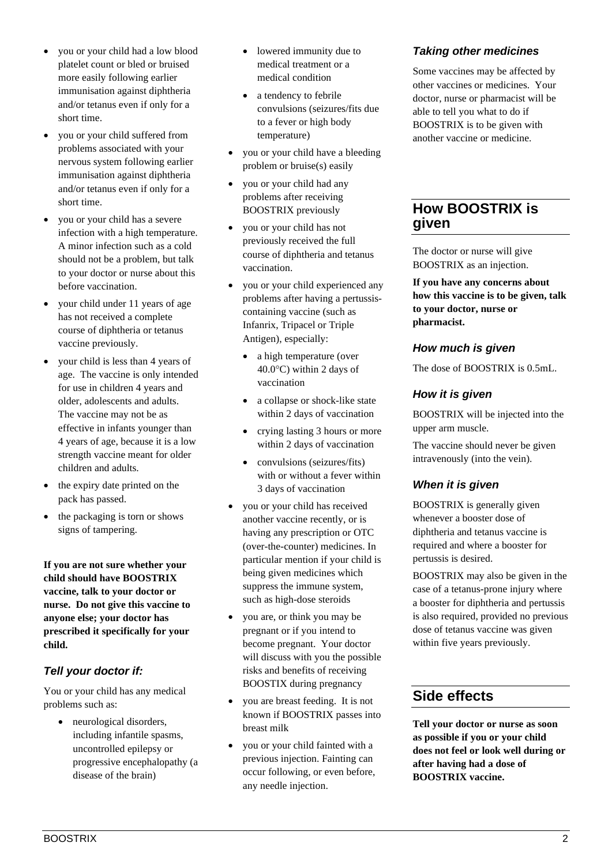- you or your child had a low blood platelet count or bled or bruised more easily following earlier immunisation against diphtheria and/or tetanus even if only for a short time.
- you or your child suffered from problems associated with your nervous system following earlier immunisation against diphtheria and/or tetanus even if only for a short time.
- you or your child has a severe infection with a high temperature. A minor infection such as a cold should not be a problem, but talk to your doctor or nurse about this before vaccination.
- your child under 11 years of age has not received a complete course of diphtheria or tetanus vaccine previously.
- your child is less than 4 years of age. The vaccine is only intended for use in children 4 years and older, adolescents and adults. The vaccine may not be as effective in infants younger than 4 years of age, because it is a low strength vaccine meant for older children and adults.
- the expiry date printed on the pack has passed.
- the packaging is torn or shows signs of tampering.

**If you are not sure whether your child should have BOOSTRIX vaccine, talk to your doctor or nurse. Do not give this vaccine to anyone else; your doctor has prescribed it specifically for your child.**

# *Tell your doctor if:*

You or your child has any medical problems such as:

> • neurological disorders, including infantile spasms, uncontrolled epilepsy or progressive encephalopathy (a disease of the brain)

- lowered immunity due to medical treatment or a medical condition
- a tendency to febrile convulsions (seizures/fits due to a fever or high body temperature)
- you or your child have a bleeding problem or bruise(s) easily
- you or your child had any problems after receiving BOOSTRIX previously
- you or your child has not previously received the full course of diphtheria and tetanus vaccination.
- you or your child experienced any problems after having a pertussiscontaining vaccine (such as Infanrix, Tripacel or Triple Antigen), especially:
	- a high temperature (over 40.0°C) within 2 days of vaccination
	- a collapse or shock-like state within 2 days of vaccination
	- crying lasting 3 hours or more within 2 days of vaccination
	- convulsions (seizures/fits) with or without a fever within 3 days of vaccination
- you or your child has received another vaccine recently, or is having any prescription or OTC (over-the-counter) medicines. In particular mention if your child is being given medicines which suppress the immune system, such as high-dose steroids
- you are, or think you may be pregnant or if you intend to become pregnant. Your doctor will discuss with you the possible risks and benefits of receiving BOOSTIX during pregnancy
- you are breast feeding. It is not known if BOOSTRIX passes into breast milk
- you or your child fainted with a previous injection. Fainting can occur following, or even before, any needle injection.

# *Taking other medicines*

Some vaccines may be affected by other vaccines or medicines. Your doctor, nurse or pharmacist will be able to tell you what to do if BOOSTRIX is to be given with another vaccine or medicine.

# **How BOOSTRIX is given**

The doctor or nurse will give BOOSTRIX as an injection.

**If you have any concerns about how this vaccine is to be given, talk to your doctor, nurse or pharmacist.**

## *How much is given*

The dose of BOOSTRIX is 0.5mL.

## *How it is given*

BOOSTRIX will be injected into the upper arm muscle.

The vaccine should never be given intravenously (into the vein).

## *When it is given*

BOOSTRIX is generally given whenever a booster dose of diphtheria and tetanus vaccine is required and where a booster for pertussis is desired.

BOOSTRIX may also be given in the case of a tetanus-prone injury where a booster for diphtheria and pertussis is also required, provided no previous dose of tetanus vaccine was given within five years previously.

# **Side effects**

**Tell your doctor or nurse as soon as possible if you or your child does not feel or look well during or after having had a dose of BOOSTRIX vaccine.**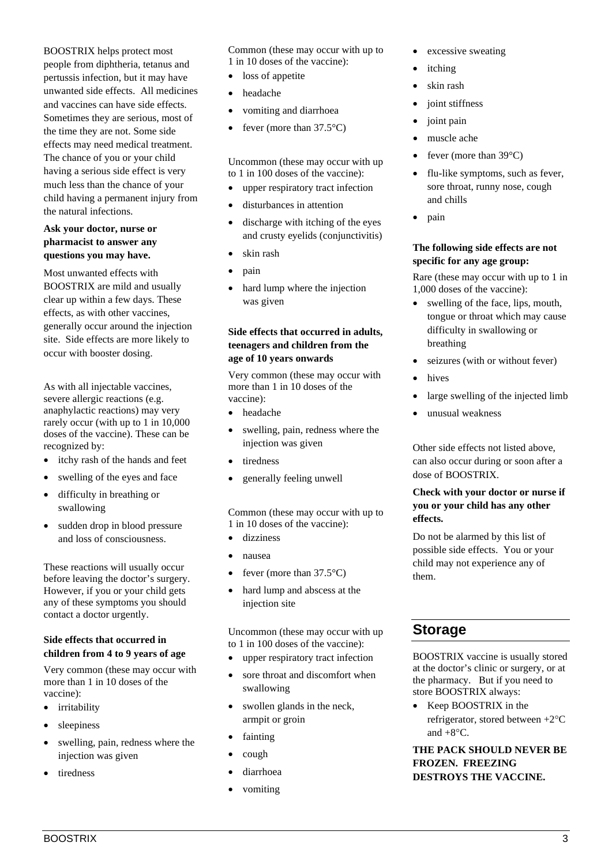BOOSTRIX helps protect most people from diphtheria, tetanus and pertussis infection, but it may have unwanted side effects. All medicines and vaccines can have side effects. Sometimes they are serious, most of the time they are not. Some side effects may need medical treatment. The chance of you or your child having a serious side effect is very much less than the chance of your child having a permanent injury from the natural infections.

#### **Ask your doctor, nurse or pharmacist to answer any questions you may have.**

Most unwanted effects with BOOSTRIX are mild and usually clear up within a few days. These effects, as with other vaccines, generally occur around the injection site. Side effects are more likely to occur with booster dosing.

As with all injectable vaccines, severe allergic reactions (e.g. anaphylactic reactions) may very rarely occur (with up to 1 in 10,000 doses of the vaccine). These can be recognized by:

- itchy rash of the hands and feet
- swelling of the eyes and face
- difficulty in breathing or swallowing
- sudden drop in blood pressure and loss of consciousness.

These reactions will usually occur before leaving the doctor's surgery. However, if you or your child gets any of these symptoms you should contact a doctor urgently.

#### **Side effects that occurred in children from 4 to 9 years of age**

Very common (these may occur with more than 1 in 10 doses of the vaccine):

- irritability
- sleepiness
- swelling, pain, redness where the injection was given
- tiredness

Common (these may occur with up to 1 in 10 doses of the vaccine):

- loss of appetite
- headache
- vomiting and diarrhoea
- fever (more than  $37.5^{\circ}$ C)

Uncommon (these may occur with up to 1 in 100 doses of the vaccine):

- upper respiratory tract infection
- disturbances in attention
- discharge with itching of the eyes and crusty eyelids (conjunctivitis)
- skin rash
- pain
- hard lump where the injection was given

#### **Side effects that occurred in adults, teenagers and children from the age of 10 years onwards**

Very common (these may occur with more than 1 in 10 doses of the vaccine):

- headache
- swelling, pain, redness where the injection was given
- tiredness
- generally feeling unwell

Common (these may occur with up to 1 in 10 doses of the vaccine):

- dizziness
- nausea
- fever (more than  $37.5^{\circ}$ C)
- hard lump and abscess at the injection site

Uncommon (these may occur with up to 1 in 100 doses of the vaccine):

- upper respiratory tract infection
- sore throat and discomfort when swallowing
- swollen glands in the neck, armpit or groin
- fainting
- cough
- diarrhoea
- vomiting
- excessive sweating
- *itching*
- skin rash
- joint stiffness
- joint pain
- muscle ache
- fever (more than  $39^{\circ}$ C)
- flu-like symptoms, such as fever, sore throat, runny nose, cough and chills
- pain

#### **The following side effects are not specific for any age group:**

Rare (these may occur with up to 1 in 1,000 doses of the vaccine):

- swelling of the face, lips, mouth, tongue or throat which may cause difficulty in swallowing or breathing
- seizures (with or without fever)
- hives
- large swelling of the injected limb
- unusual weakness

Other side effects not listed above, can also occur during or soon after a dose of BOOSTRIX.

#### **Check with your doctor or nurse if you or your child has any other effects.**

Do not be alarmed by this list of possible side effects. You or your child may not experience any of them.

# **Storage**

BOOSTRIX vaccine is usually stored at the doctor's clinic or surgery, or at the pharmacy. But if you need to store BOOSTRIX always:

• Keep BOOSTRIX in the refrigerator, stored between +2°C and  $+8^{\circ}$ C.

**THE PACK SHOULD NEVER BE FROZEN. FREEZING DESTROYS THE VACCINE.**